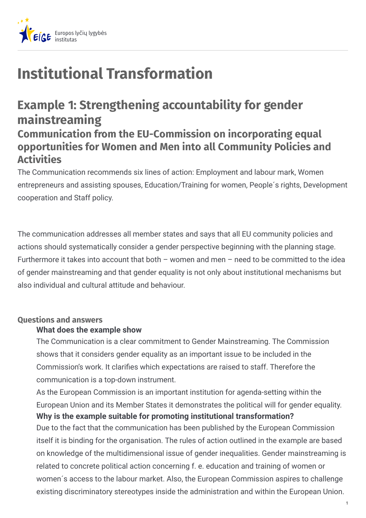

# **Institutional Transformation**

### **Example 1: Strengthening accountability for gender mainstreaming Communication from the EU-Commission on incorporating equal opportunities for Women and Men into all Community Policies and Activities**

The Communication recommends six lines of action: Employment and labour mark, Women entrepreneurs and assisting spouses, Education/Training for women, People´s rights, Development cooperation and Staff policy.

The communication addresses all member states and says that all EU community policies and actions should systematically consider a gender perspective beginning with the planning stage. Furthermore it takes into account that both – women and men – need to be committed to the idea of gender mainstreaming and that gender equality is not only about institutional mechanisms but also individual and cultural attitude and behaviour.

### **Questions and answers**

### **What does the example show**

The Communication is a clear commitment to Gender Mainstreaming. The Commission shows that it considers gender equality as an important issue to be included in the Commission's work. It clarifies which expectations are raised to staff. Therefore the communication is a top-down instrument.

As the European Commission is an important institution for agenda-setting within the European Union and its Member States it demonstrates the political will for gender equality. Due to the fact that the communication has been published by the European Commission itself it is binding for the organisation. The rules of action outlined in the example are based on knowledge of the multidimensional issue of gender inequalities. Gender mainstreaming is related to concrete political action concerning f. e. education and training of women or women´s access to the labour market. Also, the European Commission aspires to challenge existing discriminatory stereotypes inside the administration and within the European Union. **Why is the example suitable for promoting institutional transformation?**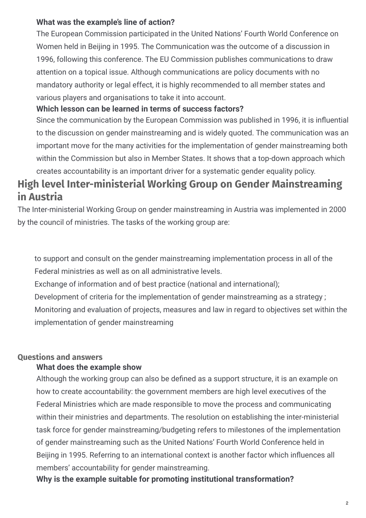#### **What was the example's line of action?**

The European Commission participated in the United Nations' Fourth World Conference on Women held in Beijing in 1995. The Communication was the outcome of a discussion in 1996, following this conference. The EU Commission publishes communications to draw attention on a topical issue. Although communications are policy documents with no mandatory authority or legal effect, it is highly recommended to all member states and various players and organisations to take it into account.

### **Which lesson can be learned in terms of success factors?**

Since the communication by the European Commission was published in 1996, it is influential to the discussion on gender mainstreaming and is widely quoted. The communication was an important move for the many activities for the implementation of gender mainstreaming both within the Commission but also in Member States. It shows that a top-down approach which creates accountability is an important driver for a systematic gender equality policy.

## **High level Inter-ministerial Working Group on Gender Mainstreaming in Austria**

The Inter-ministerial Working Group on gender mainstreaming in Austria was implemented in 2000 by the council of ministries. The tasks of the working group are:

to support and consult on the gender mainstreaming implementation process in all of the Federal ministries as well as on all administrative levels.

Exchange of information and of best practice (national and international);

Development of criteria for the implementation of gender mainstreaming as a strategy ; Monitoring and evaluation of projects, measures and law in regard to objectives set within the implementation of gender mainstreaming

### **Questions and answers**

### **What does the example show**

Although the working group can also be defined as a support structure, it is an example on how to create accountability: the government members are high level executives of the Federal Ministries which are made responsible to move the process and communicating within their ministries and departments. The resolution on establishing the inter-ministerial task force for gender mainstreaming/budgeting refers to milestones of the implementation of gender mainstreaming such as the United Nations' Fourth World Conference held in Beijing in 1995. Referring to an international context is another factor which influences all members' accountability for gender mainstreaming.

**Why is the example suitable for promoting institutional transformation?**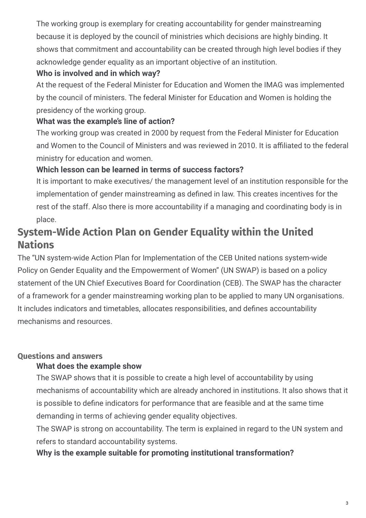The working group is exemplary for creating accountability for gender mainstreaming because it is deployed by the council of ministries which decisions are highly binding. It shows that commitment and accountability can be created through high level bodies if they acknowledge gender equality as an important objective of an institution.

### **Who is involved and in which way?**

At the request of the Federal Minister for Education and Women the IMAG was implemented by the council of ministers. The federal Minister for Education and Women is holding the presidency of the working group.

### **What was the example's line of action?**

The working group was created in 2000 by request from the Federal Minister for Education and Women to the Council of Ministers and was reviewed in 2010. It is affiliated to the federal ministry for education and women.

### **Which lesson can be learned in terms of success factors?**

It is important to make executives/ the management level of an institution responsible for the implementation of gender mainstreaming as defined in law. This creates incentives for the rest of the staff. Also there is more accountability if a managing and coordinating body is in place.

### **System-Wide Action Plan on Gender Equality within the United Nations**

The "UN system-wide Action Plan for Implementation of the CEB United nations system-wide Policy on Gender Equality and the Empowerment of Women" (UN SWAP) is based on a policy statement of the UN Chief Executives Board for Coordination (CEB). The SWAP has the character of a framework for a gender mainstreaming working plan to be applied to many UN organisations. It includes indicators and timetables, allocates responsibilities, and defines accountability mechanisms and resources.

### **Questions and answers**

### **What does the example show**

The SWAP shows that it is possible to create a high level of accountability by using mechanisms of accountability which are already anchored in institutions. It also shows that it is possible to define indicators for performance that are feasible and at the same time demanding in terms of achieving gender equality objectives.

The SWAP is strong on accountability. The term is explained in regard to the UN system and refers to standard accountability systems.

### **Why is the example suitable for promoting institutional transformation?**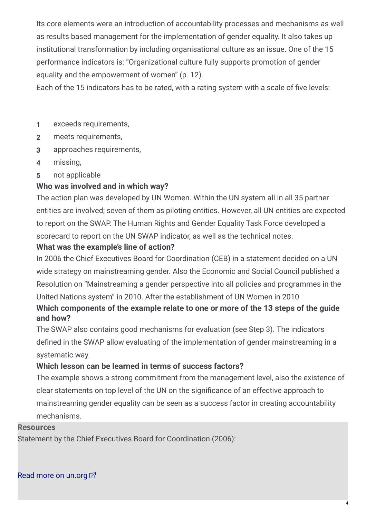Its core elements were an introduction of accountability processes and mechanisms as well as results based management for the implementation of gender equality. It also takes up institutional transformation by including organisational culture as an issue. One of the 15 performance indicators is: "Organizational culture fully supports promotion of gender equality and the empowerment of women" (p. 12).

Each of the 15 indicators has to be rated, with a rating system with a scale of five levels:

- **1** exceeds requirements,
- **2** meets requirements,
- **3** approaches requirements,
- **4** missing,
- **5** not applicable

### **Who was involved and in which way?**

The action plan was developed by UN Women. Within the UN system all in all 35 partner entities are involved; seven of them as piloting entities. However, all UN entities are expected to report on the SWAP. The Human Rights and Gender Equality Task Force developed a scorecard to report on the UN SWAP indicator, as well as the technical notes.

### **What was the example's line of action?**

In 2006 the Chief Executives Board for Coordination (CEB) in a statement decided on a UN wide strategy on mainstreaming gender. Also the Economic and Social Council published a Resolution on "Mainstreaming a gender perspective into all policies and programmes in the United Nations system" in 2010. After the establishment of UN Women in 2010

### **Which components of the example relate to one or more of the 13 steps of the guide and how?**

The SWAP also contains good mechanisms for evaluation (see Step 3). The indicators defined in the SWAP allow evaluating of the implementation of gender mainstreaming in a systematic way.

### **Which lesson can be learned in terms of success factors?**

The example shows a strong commitment from the management level, also the existence of clear statements on top level of the UN on the significance of an effective approach to mainstreaming gender equality can be seen as a success factor in creating accountability mechanisms.

#### **Resources**

Statement by the Chief Executives Board for Coordination (2006):

### Read more on [un.org](http://www.un.org/womenwatch/ianwge/gm/UN_system_wide_P_S_CEB_Statement_2006.pdf)  $\mathbb{Z}^7$